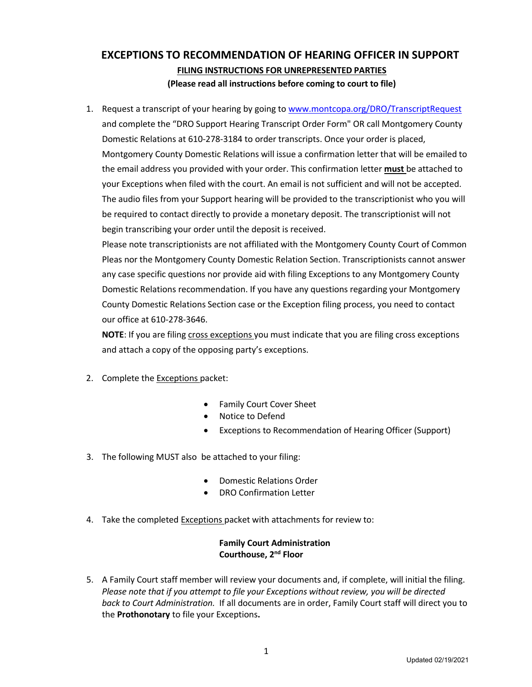# **EXCEPTIONS TO RECOMMENDATION OF HEARING OFFICER IN SUPPORT FILING INSTRUCTIONS FOR UNREPRESENTED PARTIES (Please read all instructions before coming to court to file)**

1. Request a transcript of your hearing by going to www.montcopa.org/DRO/TranscriptRequest and complete the "DRO Support Hearing Transcript Order Form" OR call Montgomery County Domestic Relations at 610-278-3184 to order transcripts. Once your order is placed, Montgomery County Domestic Relations will issue a confirmation letter that will be emailed to the email address you provided with your order. This confirmation letter **must** be attached to your Exceptions when filed with the court. An email is not sufficient and will not be accepted. The audio files from your Support hearing will be provided to the transcriptionist who you will be required to contact directly to provide a monetary deposit. The transcriptionist will not begin transcribing your order until the deposit is received.

Please note transcriptionists are not affiliated with the Montgomery County Court of Common Pleas nor the Montgomery County Domestic Relation Section. Transcriptionists cannot answer any case specific questions nor provide aid with filing Exceptions to any Montgomery County Domestic Relations recommendation. If you have any questions regarding your Montgomery County Domestic Relations Section case or the Exception filing process, you need to contact our office at 610-278-3646.

**NOTE**: If you are filing cross exceptions you must indicate that you are filing cross exceptions and attach a copy of the opposing party's exceptions.

- 2. Complete the Exceptions packet:
	- Family Court Cover Sheet
	- Notice to Defend
	- Exceptions to Recommendation of Hearing Officer (Support)
- 3. The following MUST also be attached to your filing:
	- Domestic Relations Order
	- DRO Confirmation Letter
- 4. Take the completed Exceptions packet with attachments for review to:

### **Family Court Administration Courthouse, 2nd Floor**

5. A Family Court staff member will review your documents and, if complete, will initial the filing. *Please note that if you attempt to file your Exceptions without review, you will be directed back to Court Administration.* If all documents are in order, Family Court staff will direct you to the **Prothonotary** to file your Exceptions**.**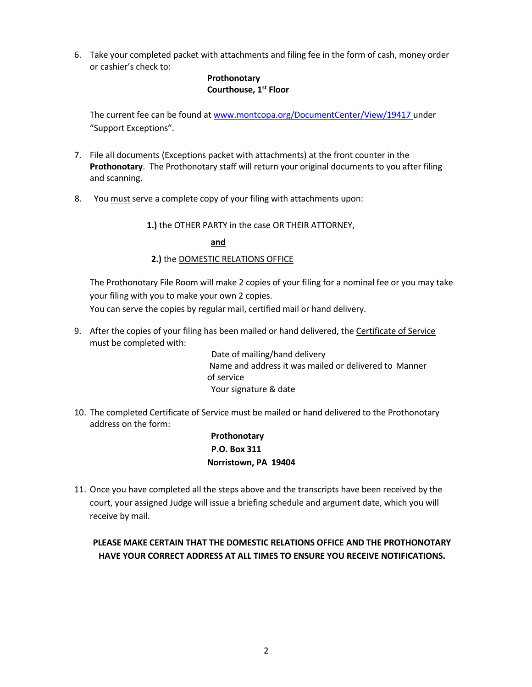6. Take your completed packet with attachments and filing fee in the form of cash, money order or cashier's check to:

### **Prothonotary Courthouse, 1st Floor**

The current fee can be found at www.montcopa.org/DocumentCenter/View/19417 under "Support Exceptions".

- 7. File all documents (Exceptions packet with attachments) at the front counter in the **Prothonotary**. The Prothonotary staff will return your original documents to you after filing and scanning.
- 8. You must serve a complete copy of your filing with attachments upon:

**1.)** the OTHER PARTY in the case OR THEIR ATTORNEY,

**and**

### **2.)** the DOMESTIC RELATIONS OFFICE

The Prothonotary File Room will make 2 copies of your filing for a nominal fee or you may take your filing with you to make your own 2 copies.

You can serve the copies by regular mail, certified mail or hand delivery.

9. After the copies of your filing has been mailed or hand delivered, the Certificate of Service must be completed with:

Date of mailing/hand delivery Name and address it was mailed or delivered to Manner of service Your signature & date

10. The completed Certificate of Service must be mailed or hand delivered to the Prothonotary address on the form:

> **Prothonotary P.O. Box 311 Norristown, PA 19404**

11. Once you have completed all the steps above and the transcripts have been received by the court, your assigned Judge will issue a briefing schedule and argument date, which you will receive by mail.

# **PLEASE MAKE CERTAIN THAT THE DOMESTIC RELATIONS OFFICE AND THE PROTHONOTARY HAVE YOUR CORRECT ADDRESS AT ALL TIMES TO ENSURE YOU RECEIVE NOTIFICATIONS.**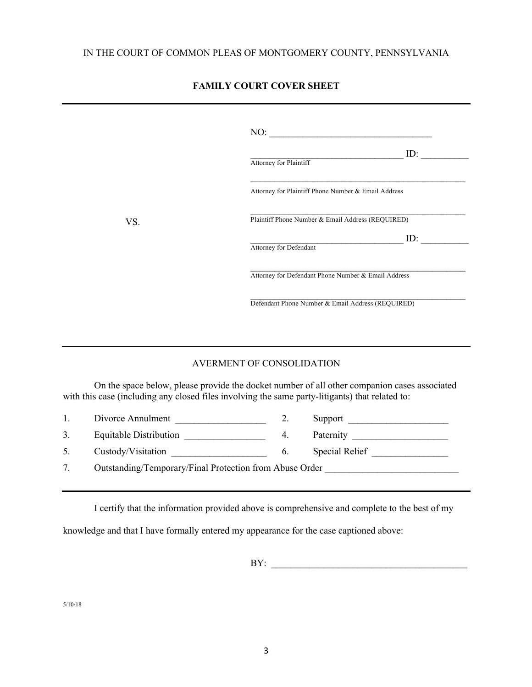# **FAMILY COURT COVER SHEET**

|     | NO:                                                 |
|-----|-----------------------------------------------------|
|     | ID:<br>Attorney for Plaintiff                       |
|     | Attorney for Plaintiff Phone Number & Email Address |
| VS. | Plaintiff Phone Number & Email Address (REQUIRED)   |
|     | ID:<br>Attorney for Defendant                       |
|     | Attorney for Defendant Phone Number & Email Address |
|     | Defendant Phone Number & Email Address (REQUIRED)   |

### AVERMENT OF CONSOLIDATION

On the space below, please provide the docket number of all other companion cases associated with this case (including any closed files involving the same party-litigants) that related to:

| $\mathbf{1}$ . | Divorce Annulment                                       |    | Support               |
|----------------|---------------------------------------------------------|----|-----------------------|
| 3.             | Equitable Distribution                                  | 4. | Paternity             |
| 5.             | Custody/Visitation                                      | 6. | <b>Special Relief</b> |
|                | Outstanding/Temporary/Final Protection from Abuse Order |    |                       |

I certify that the information provided above is comprehensive and complete to the best of my

knowledge and that I have formally entered my appearance for the case captioned above:

BY: \_\_\_\_\_\_\_\_\_\_\_\_\_\_\_\_\_\_\_\_\_\_\_\_\_\_\_\_\_\_\_\_\_\_\_\_\_\_\_\_\_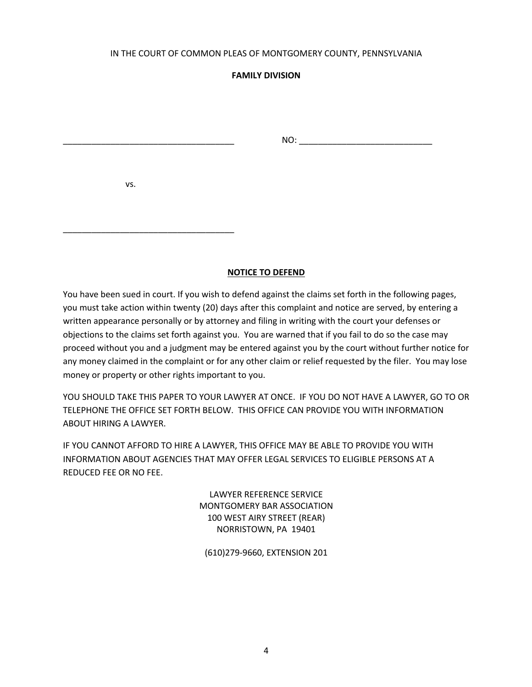#### IN THE COURT OF COMMON PLEAS OF MONTGOMERY COUNTY, PENNSYLVANIA

### **FAMILY DIVISION**

\_\_\_\_\_\_\_\_\_\_\_\_\_\_\_\_\_\_\_\_\_\_\_\_\_\_\_\_\_\_\_\_\_\_\_\_ NO: \_\_\_\_\_\_\_\_\_\_\_\_\_\_\_\_\_\_\_\_\_\_\_\_\_\_\_\_

vs.

\_\_\_\_\_\_\_\_\_\_\_\_\_\_\_\_\_\_\_\_\_\_\_\_\_\_\_\_\_\_\_\_\_\_\_\_

### **NOTICE TO DEFEND**

You have been sued in court. If you wish to defend against the claims set forth in the following pages, you must take action within twenty (20) days after this complaint and notice are served, by entering a written appearance personally or by attorney and filing in writing with the court your defenses or objections to the claims set forth against you. You are warned that if you fail to do so the case may proceed without you and a judgment may be entered against you by the court without further notice for any money claimed in the complaint or for any other claim or relief requested by the filer. You may lose money or property or other rights important to you.

YOU SHOULD TAKE THIS PAPER TO YOUR LAWYER AT ONCE. IF YOU DO NOT HAVE A LAWYER, GO TO OR TELEPHONE THE OFFICE SET FORTH BELOW. THIS OFFICE CAN PROVIDE YOU WITH INFORMATION ABOUT HIRING A LAWYER.

IF YOU CANNOT AFFORD TO HIRE A LAWYER, THIS OFFICE MAY BE ABLE TO PROVIDE YOU WITH INFORMATION ABOUT AGENCIES THAT MAY OFFER LEGAL SERVICES TO ELIGIBLE PERSONS AT A REDUCED FEE OR NO FEE.

> LAWYER REFERENCE SERVICE MONTGOMERY BAR ASSOCIATION 100 WEST AIRY STREET (REAR) NORRISTOWN, PA 19401

(610)279-9660, EXTENSION 201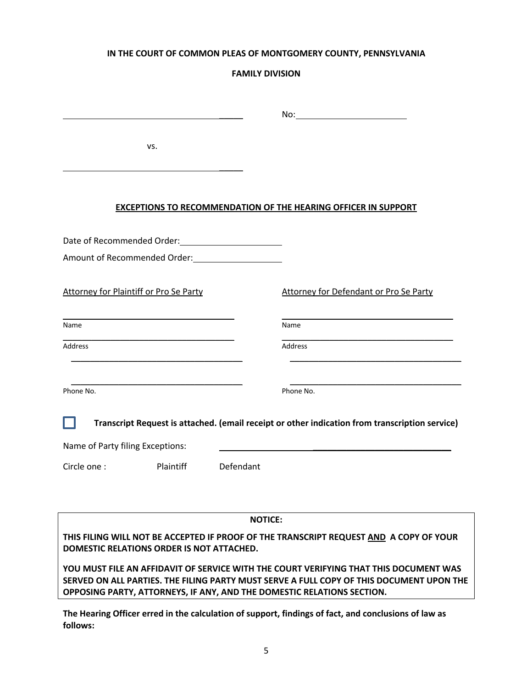### **IN THE COURT OF COMMON PLEAS OF MONTGOMERY COUNTY, PENNSYLVANIA**

# **FAMILY DIVISION**

|                                  |                                                                                                                                                                                                                                       |                | No:                                                                                                                                                                                                                                                         |
|----------------------------------|---------------------------------------------------------------------------------------------------------------------------------------------------------------------------------------------------------------------------------------|----------------|-------------------------------------------------------------------------------------------------------------------------------------------------------------------------------------------------------------------------------------------------------------|
|                                  | VS.                                                                                                                                                                                                                                   |                |                                                                                                                                                                                                                                                             |
|                                  |                                                                                                                                                                                                                                       |                | <b>EXCEPTIONS TO RECOMMENDATION OF THE HEARING OFFICER IN SUPPORT</b>                                                                                                                                                                                       |
|                                  | Date of Recommended Order:<br><u>Letter</u> and the setter and the setter and the setter and the setter and the setter and the setter and setter and the setter and setter and setter and setter and setter and setter and setter and |                |                                                                                                                                                                                                                                                             |
|                                  |                                                                                                                                                                                                                                       |                |                                                                                                                                                                                                                                                             |
|                                  | <b>Attorney for Plaintiff or Pro Se Party</b>                                                                                                                                                                                         |                | Attorney for Defendant or Pro Se Party                                                                                                                                                                                                                      |
| Name                             |                                                                                                                                                                                                                                       |                | Name                                                                                                                                                                                                                                                        |
| Address                          |                                                                                                                                                                                                                                       |                | <b>Address</b>                                                                                                                                                                                                                                              |
| Phone No.                        |                                                                                                                                                                                                                                       |                | Phone No.                                                                                                                                                                                                                                                   |
|                                  |                                                                                                                                                                                                                                       |                | Transcript Request is attached. (email receipt or other indication from transcription service)                                                                                                                                                              |
| Name of Party filing Exceptions: |                                                                                                                                                                                                                                       |                |                                                                                                                                                                                                                                                             |
| Circle one:                      | Plaintiff                                                                                                                                                                                                                             | Defendant      |                                                                                                                                                                                                                                                             |
|                                  |                                                                                                                                                                                                                                       | <b>NOTICE:</b> |                                                                                                                                                                                                                                                             |
|                                  | DOMESTIC RELATIONS ORDER IS NOT ATTACHED.                                                                                                                                                                                             |                | THIS FILING WILL NOT BE ACCEPTED IF PROOF OF THE TRANSCRIPT REQUEST AND A COPY OF YOUR                                                                                                                                                                      |
|                                  |                                                                                                                                                                                                                                       |                | YOU MUST FILE AN AFFIDAVIT OF SERVICE WITH THE COURT VERIFYING THAT THIS DOCUMENT WAS<br>SERVED ON ALL PARTIES. THE FILING PARTY MUST SERVE A FULL COPY OF THIS DOCUMENT UPON THE<br>OPPOSING PARTY, ATTORNEYS, IF ANY, AND THE DOMESTIC RELATIONS SECTION. |
|                                  |                                                                                                                                                                                                                                       |                | The Hearing Officer erred in the calculation of support, findings of fact, and conclusions of law as                                                                                                                                                        |

**follows:**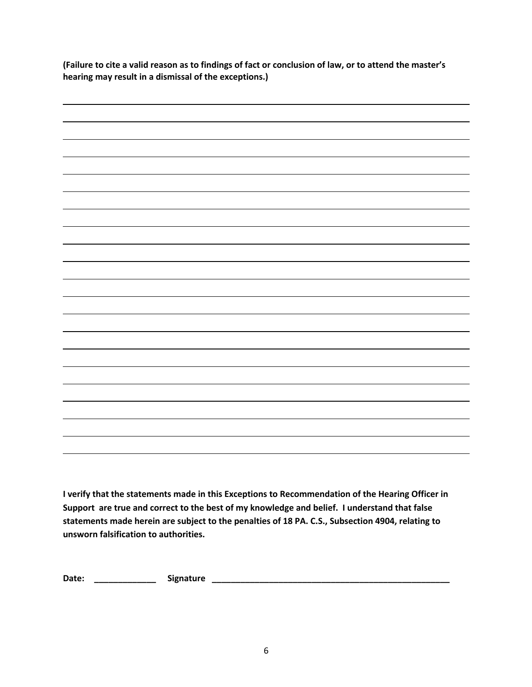**(Failure to cite a valid reason as to findings of fact or conclusion of law, or to attend the master's hearing may result in a dismissal of the exceptions.)**



**I verify that the statements made in this Exceptions to Recommendation of the Hearing Officer in Support are true and correct to the best of my knowledge and belief. I understand that false statements made herein are subject to the penalties of 18 PA. C.S., Subsection 4904, relating to unsworn falsification to authorities.**

**Date: \_\_\_\_\_\_\_\_\_\_\_\_\_ Signature \_\_\_\_\_\_\_\_\_\_\_\_\_\_\_\_\_\_\_\_\_\_\_\_\_\_\_\_\_\_\_\_\_\_\_\_\_\_\_\_\_\_\_\_\_\_\_\_\_\_**